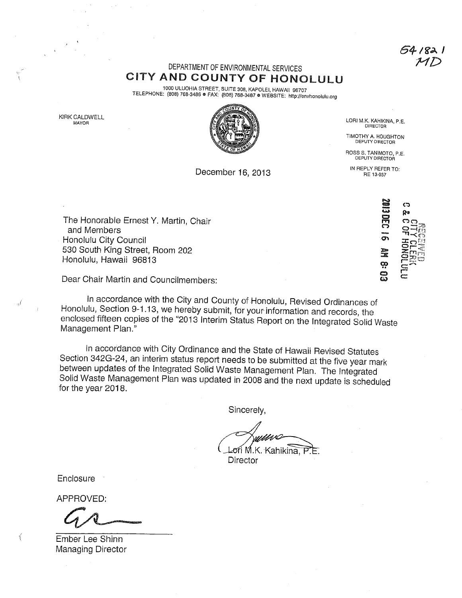54 i 82 l

## DEPARTMENT OF ENVIRONMENTAL SERVICES CiTY AND COUNTY OF HONOLULU

1000 ULUOHIA STREET, SUITE 308, KAPOLEI, HAWAII 96707 TELEPHONE: ÿ808) 768-3486 • FAX: (808) 768-3487 o WEBSITE: http://envhonolulu,org

KIRK CALDWELL



LORI M.K. KAHIKINA, P.E. **DIRECTOR** 

TIMOTHY A. HOUGHTON DEPUTY DIRECTOR

ROSS S. TANIMOTO, P.E. DEPUTY DIRECTOR

December 16, 2013 IN REPLY REFER TO: RE 13-037

The Honorable Ernest Y. Martin, Chair and Members Honolulu City Council 530 South King Street, Room 202 Honolulu, Hawaii 96813

Dear Chair Martin and Councilmembers:

In accordance with the City and County of Honolulu, Revised Ordinances of Honolulu, Section 9-1.13, we hereby submit, for your information and records, the enclosed fifteen copies of the "2013 Interim Status Report on the Integrated Solid Waste Management Plan."

In accordance with City Ordinance and the State of Hawaii Revised Statutes Section 342G-24, an interim status report needs to be submitted at the five year mark between updates of the Integrated Solid Waste Management Plan. The Integrated Solid Waste Management Plan was updated in 2008 and the next update is scheduled for the year 2018.

Sincerely,

Lori M.K. Kahikina, P **Director** 

**Enclosure** 

 $\frac{d}{d}$ 

APPROVED:

Ember Lee Shinn Managing Director

**SOLODED** ඏ Đ٥  $\overset{\text{\tiny{}}}{\sigma}$ or<br>∰e ထု :~ ض  $\Xi$ සූ